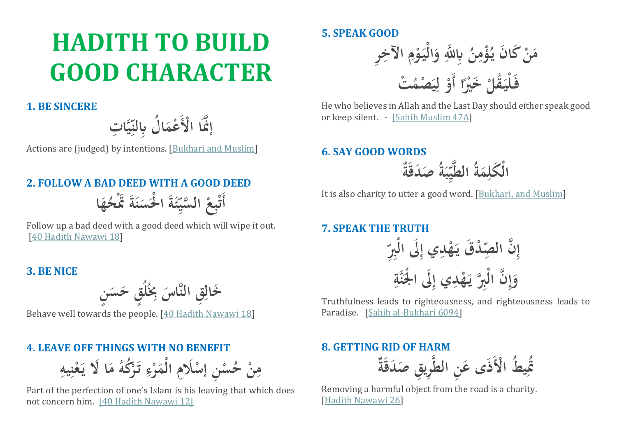# **HADITH TO BUILD GOOD CHARACTER**

# **1. BE SINCERE**

**ات ما ي ِّ ا ل اِبلن ُ ا َ أعم َّنَا اأْلَ م إ**

Actions are (judged) by intentions. [\[Bukhari and Muslim\]](https://sunnah.com/nawawi40)

# **2. FOLLOW A BAD DEED WITH A GOOD DEED**

**ا ه ُ َةَ ََتأح ن َس َةَ ا أْل ئ ِّ سي م ال اع أب أَت َ َ** اس<br>المراجع **أ**

Follow up a bad deed with a good deed which will wipe it out. [\[40 Hadith Nawawi 18\]](https://sunnah.com/nawawi40/18)

## **3. BE NICE**

**ن َس ق ح ُ ُل ِبا ماس اق الن َخال ∫ َ ٍ َ ا**

Behave well towards the people. [\[40 Hadith Nawawi 18\]](https://sunnah.com/nawawi40/18)

# **4. LEAVE OFF THINGS WITH NO BENEFIT**

**ا يه ا ن أ ع َ ا ََل ي َ م ُ ُكه أ َر ت ا ء أ ر َ الأم ََلما أ ان إس أ س ُ أ ح ن ا م**

Part of the perfection of one's Islam is his leaving that which does not concern him. [\[40 Hadith Nawawi 12\]](https://sunnah.com/nawawi40/12)

# **5. SPEAK GOOD**

**ار اآلخا ا م أ َو الأي َ و َّللا اِب م ُ ن ا ُأؤم َن ي َكا أ َن م ُ أت َ أصم ي ا ل أ ا أَو ً أ َخأْي قل ُ َ فَ ألي** 

He who believes in Allah and the Last Day should either speak good or keep silent. - [\[Sahih Muslim 47A\]](https://sunnah.com/muslim/1/80)

# **6. SAY GOOD WORDS**

 **َصَدقَة ُ ة َ ب ا ِّ ي م الط ُ ة َ م ا الأ َكل**

It is also charity to utter a good word. [\[Bukhari, and Muslim\]](https://sunnah.com/riyadussaliheen/2/14)

**7. SPEAK THE TRUTH**

**ا ِّ اب ََل الأ ا أداي <sup>إ</sup> ه َ أد َق ي صا ِّ ن ال ا م إ ا مة ن َ ََل ا أْل ا أداي <sup>إ</sup> ه َ ي م اب ن الأ ا م إ َ و**

Truthfulness leads to righteousness, and righteousness leads to Paradise. [\[Sahih al-Bukhari 6094\]](https://sunnah.com/bukhari/78/121)

## **8. GETTING RID OF HARM**

 **َصَدقَة ماري اق ان الط َ ط اأْلَذَى ع ُ ي َتا ُ**

Removing a harmful object from the road is a charity. [\[Hadith Nawawi 26\]](https://sunnah.com/nawawi40/26)